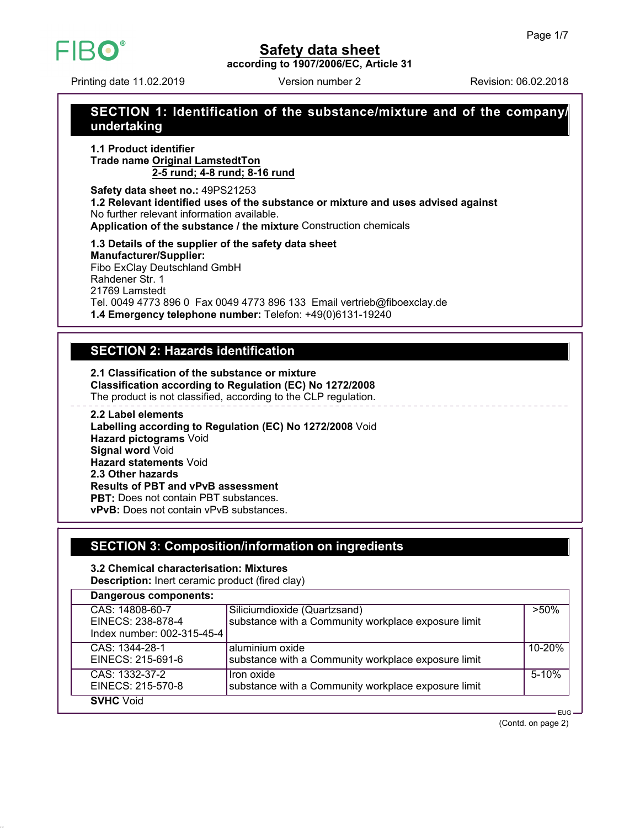

**according to 1907/2006/EC, Article 31**

Printing date 11.02.2019 Version number 2 Revision: 06.02.2018

HBO

# **SECTION 1: Identification of the substance/mixture and of the company/ undertaking**

**1.1 Product identifier Trade name Original LamstedtTon 2-5 rund; 4-8 rund; 8-16 rund**

**Safety data sheet no.:** 49PS21253 **1.2 Relevant identified uses of the substance or mixture and uses advised against** No further relevant information available. **Application of the substance / the mixture** Construction chemicals

**1.3 Details of the supplier of the safety data sheet Manufacturer/Supplier:** Fibo ExClay Deutschland GmbH Rahdener Str. 1 21769 Lamstedt Tel. 0049 4773 896 0 Fax 0049 4773 896 133 Email vertrieb@fiboexclay.de **1.4 Emergency telephone number:** Telefon: +49(0)6131-19240

# **SECTION 2: Hazards identification**

**2.1 Classification of the substance or mixture Classification according to Regulation (EC) No 1272/2008** The product is not classified, according to the CLP regulation.

**2.2 Label elements Labelling according to Regulation (EC) No 1272/2008** Void **Hazard pictograms** Void **Signal word** Void **Hazard statements** Void **2.3 Other hazards**

**Results of PBT and vPvB assessment**

**PBT:** Does not contain PBT substances.

**vPvB:** Does not contain vPvB substances.

# **SECTION 3: Composition/information on ingredients**

**3.2 Chemical characterisation: Mixtures Description:** Inert ceramic product (fired clay)

| Dangerous components:                                              |                                                                                     |           |
|--------------------------------------------------------------------|-------------------------------------------------------------------------------------|-----------|
| CAS: 14808-60-7<br>EINECS: 238-878-4<br>Index number: 002-315-45-4 | Siliciumdioxide (Quartzsand)<br>substance with a Community workplace exposure limit | $>50\%$   |
| CAS: 1344-28-1<br>EINECS: 215-691-6                                | aluminium oxide<br>substance with a Community workplace exposure limit              | 10-20%    |
| CAS: 1332-37-2<br>EINECS: 215-570-8                                | Iron oxide<br>substance with a Community workplace exposure limit                   | $5 - 10%$ |
| <b>SVHC</b> Void                                                   |                                                                                     | $FHG -$   |

(Contd. on page 2)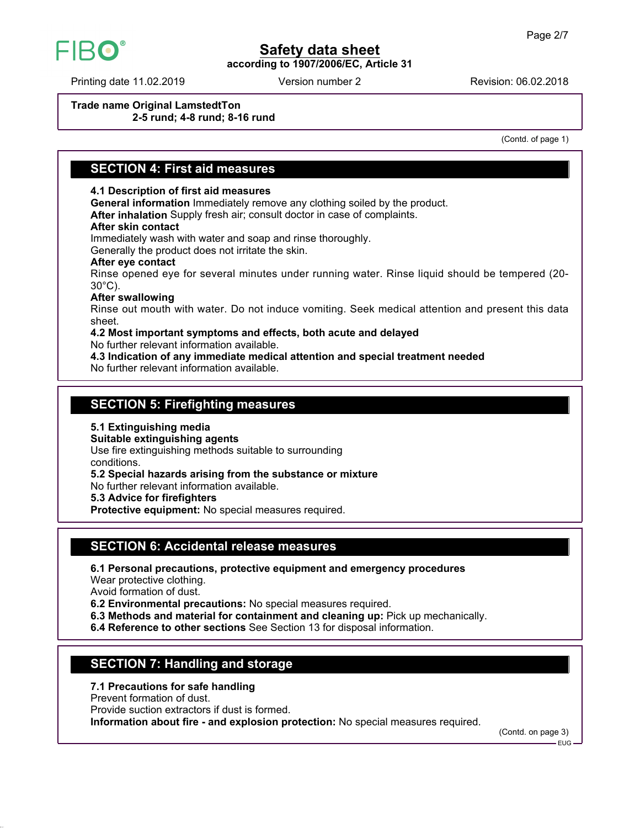

**according to 1907/2006/EC, Article 31**

Printing date 11.02.2019 **Revision: 06.02.2018** Version number 2

**Trade name Original LamstedtTon 2-5 rund; 4-8 rund; 8-16 rund**

(Contd. of page 1)

## **SECTION 4: First aid measures**

### **4.1 Description of first aid measures**

**General information** Immediately remove any clothing soiled by the product.

**After inhalation** Supply fresh air; consult doctor in case of complaints.

#### **After skin contact**

Immediately wash with water and soap and rinse thoroughly.

Generally the product does not irritate the skin.

#### **After eye contact**

Rinse opened eye for several minutes under running water. Rinse liquid should be tempered (20- 30°C).

#### **After swallowing**

Rinse out mouth with water. Do not induce vomiting. Seek medical attention and present this data sheet.

## **4.2 Most important symptoms and effects, both acute and delayed**

No further relevant information available.

**4.3 Indication of any immediate medical attention and special treatment needed** No further relevant information available.

## **SECTION 5: Firefighting measures**

**5.1 Extinguishing media**

**Suitable extinguishing agents**

Use fire extinguishing methods suitable to surrounding conditions.

**5.2 Special hazards arising from the substance or mixture**

No further relevant information available.

**5.3 Advice for firefighters**

**Protective equipment:** No special measures required.

# **SECTION 6: Accidental release measures**

**6.1 Personal precautions, protective equipment and emergency procedures**

Wear protective clothing.

Avoid formation of dust.

**6.2 Environmental precautions:** No special measures required.

- **6.3 Methods and material for containment and cleaning up:** Pick up mechanically.
- **6.4 Reference to other sections** See Section 13 for disposal information.

# **SECTION 7: Handling and storage**

**7.1 Precautions for safe handling**

Prevent formation of dust.

Provide suction extractors if dust is formed.

**Information about fire - and explosion protection:** No special measures required.

(Contd. on page 3)

EUG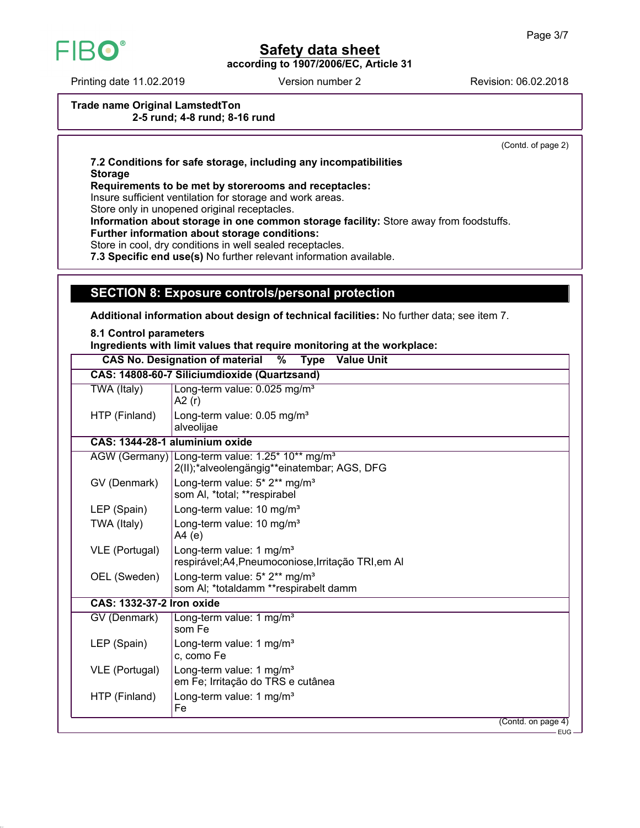

**according to 1907/2006/EC, Article 31**

Printing date 11.02.2019 **Revision: 06.02.2018** Version number 2

**Trade name Original LamstedtTon 2-5 rund; 4-8 rund; 8-16 rund**

(Contd. of page 2)

**7.2 Conditions for safe storage, including any incompatibilities Storage**

**Requirements to be met by storerooms and receptacles:**

Insure sufficient ventilation for storage and work areas.

Store only in unopened original receptacles.

**Information about storage in one common storage facility:** Store away from foodstuffs.

**Further information about storage conditions:**

Store in cool, dry conditions in well sealed receptacles.

**7.3 Specific end use(s)** No further relevant information available.

# **SECTION 8: Exposure controls/personal protection**

**Additional information about design of technical facilities:** No further data; see item 7.

**8.1 Control parameters**

**Ingredients with limit values that require monitoring at the workplace:**

| <b>Value Unit</b><br><b>CAS No. Designation of material</b><br>$\%$<br><b>Type</b> |                                                                                                            |      |  |
|------------------------------------------------------------------------------------|------------------------------------------------------------------------------------------------------------|------|--|
| CAS: 14808-60-7 Siliciumdioxide (Quartzsand)                                       |                                                                                                            |      |  |
| TWA (Italy)                                                                        | Long-term value: 0.025 mg/m <sup>3</sup><br>A2(r)                                                          |      |  |
| HTP (Finland)                                                                      | Long-term value: 0.05 mg/m <sup>3</sup><br>alveolijae                                                      |      |  |
|                                                                                    | CAS: 1344-28-1 aluminium oxide                                                                             |      |  |
|                                                                                    | AGW (Germany) Long-term value: 1.25* 10** mg/m <sup>3</sup><br>2(II);*alveolengängig**einatembar; AGS, DFG |      |  |
| GV (Denmark)                                                                       | Long-term value: 5* 2** mg/m <sup>3</sup><br>som Al, *total; **respirabel                                  |      |  |
| LEP (Spain)                                                                        | Long-term value: 10 mg/m <sup>3</sup>                                                                      |      |  |
| TWA (Italy)                                                                        | Long-term value: 10 mg/m <sup>3</sup><br>A4(e)                                                             |      |  |
| VLE (Portugal)                                                                     | Long-term value: 1 mg/m <sup>3</sup><br>respirável; A4, Pneumoconiose, Irritação TRI, em AI                |      |  |
| OEL (Sweden)                                                                       | Long-term value: 5* 2** mg/m <sup>3</sup><br>som AI; *totaldamm **respirabelt damm                         |      |  |
| <b>CAS: 1332-37-2 Iron oxide</b>                                                   |                                                                                                            |      |  |
| GV (Denmark)                                                                       | Long-term value: 1 mg/m <sup>3</sup><br>som Fe                                                             |      |  |
| LEP (Spain)                                                                        | Long-term value: 1 mg/m <sup>3</sup><br>c, como Fe                                                         |      |  |
| VLE (Portugal)                                                                     | Long-term value: 1 mg/m <sup>3</sup><br>em Fe; Irritação do TRS e cutânea                                  |      |  |
| HTP (Finland)                                                                      | Long-term value: 1 mg/m <sup>3</sup><br>Fe                                                                 |      |  |
|                                                                                    | (Contd. on page 4)                                                                                         |      |  |
|                                                                                    |                                                                                                            | EUG- |  |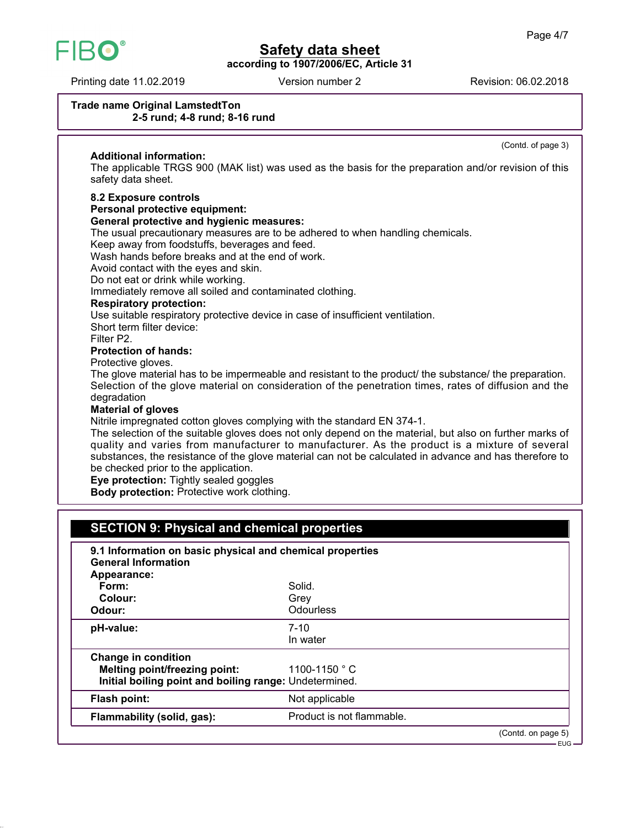

**according to 1907/2006/EC, Article 31**

Printing date 11.02.2019 **Revision: 06.02.2018** Version number 2

(Contd. of page 3)

#### **Trade name Original LamstedtTon 2-5 rund; 4-8 rund; 8-16 rund**

### **Additional information:**

The applicable TRGS 900 (MAK list) was used as the basis for the preparation and/or revision of this safety data sheet.

#### **8.2 Exposure controls**

### **Personal protective equipment:**

#### **General protective and hygienic measures:**

The usual precautionary measures are to be adhered to when handling chemicals.

Keep away from foodstuffs, beverages and feed.

Wash hands before breaks and at the end of work.

Avoid contact with the eyes and skin.

Do not eat or drink while working.

Immediately remove all soiled and contaminated clothing.

### **Respiratory protection:**

Use suitable respiratory protective device in case of insufficient ventilation.

Short term filter device:

Filter P2.

#### **Protection of hands:**

Protective gloves.

The glove material has to be impermeable and resistant to the product/ the substance/ the preparation. Selection of the glove material on consideration of the penetration times, rates of diffusion and the degradation

#### **Material of gloves**

Nitrile impregnated cotton gloves complying with the standard EN 374-1.

The selection of the suitable gloves does not only depend on the material, but also on further marks of quality and varies from manufacturer to manufacturer. As the product is a mixture of several substances, the resistance of the glove material can not be calculated in advance and has therefore to be checked prior to the application.

**Eye protection:** Tightly sealed goggles

**Body protection:** Protective work clothing.

# **SECTION 9: Physical and chemical properties**

| 9.1 Information on basic physical and chemical properties<br><b>General Information</b> |                           |                    |
|-----------------------------------------------------------------------------------------|---------------------------|--------------------|
| Appearance:                                                                             |                           |                    |
| Form:                                                                                   | Solid.                    |                    |
| Colour:                                                                                 | Grey                      |                    |
| Odour:                                                                                  | <b>Odourless</b>          |                    |
| pH-value:                                                                               | $7 - 10$                  |                    |
|                                                                                         | In water                  |                    |
| <b>Change in condition</b>                                                              |                           |                    |
| Melting point/freezing point:                                                           | 1100-1150 $^{\circ}$ C    |                    |
| Initial boiling point and boiling range: Undetermined.                                  |                           |                    |
| Flash point:                                                                            | Not applicable            |                    |
| Flammability (solid, gas):                                                              | Product is not flammable. |                    |
|                                                                                         |                           | (Contd. on page 5) |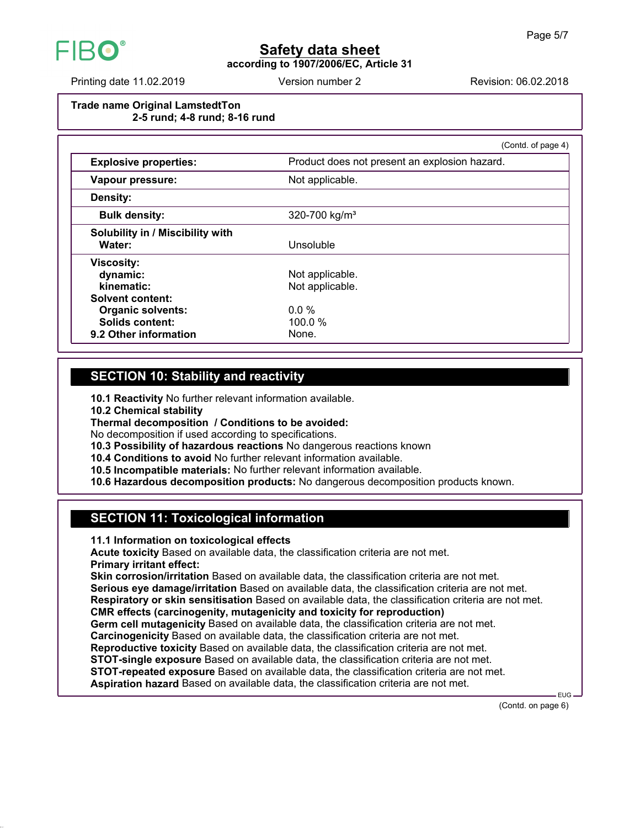

**according to 1907/2006/EC, Article 31**

Printing date 11.02.2019 **Revision: 06.02.2018** Version number 2

### **Trade name Original LamstedtTon 2-5 rund; 4-8 rund; 8-16 rund**

|                                                                                                 | (Contd. of page 4)                            |  |
|-------------------------------------------------------------------------------------------------|-----------------------------------------------|--|
| <b>Explosive properties:</b>                                                                    | Product does not present an explosion hazard. |  |
| Vapour pressure:                                                                                | Not applicable.                               |  |
| Density:                                                                                        |                                               |  |
| <b>Bulk density:</b>                                                                            | 320-700 kg/m <sup>3</sup>                     |  |
| <b>Solubility in / Miscibility with</b><br>Water:                                               | Unsoluble                                     |  |
| <b>Viscosity:</b><br>dynamic:<br>kinematic:                                                     | Not applicable.<br>Not applicable.            |  |
| <b>Solvent content:</b><br><b>Organic solvents:</b><br>Solids content:<br>9.2 Other information | $0.0\%$<br>$100.0\%$<br>None.                 |  |

# **SECTION 10: Stability and reactivity**

**10.1 Reactivity** No further relevant information available.

**10.2 Chemical stability**

**Thermal decomposition / Conditions to be avoided:**

No decomposition if used according to specifications.

**10.3 Possibility of hazardous reactions** No dangerous reactions known

**10.4 Conditions to avoid** No further relevant information available.

**10.5 Incompatible materials:** No further relevant information available.

**10.6 Hazardous decomposition products:** No dangerous decomposition products known.

# **SECTION 11: Toxicological information**

**11.1 Information on toxicological effects**

**Acute toxicity** Based on available data, the classification criteria are not met. **Primary irritant effect:**

**Skin corrosion/irritation** Based on available data, the classification criteria are not met. **Serious eye damage/irritation** Based on available data, the classification criteria are not met. **Respiratory or skin sensitisation** Based on available data, the classification criteria are not met.

**CMR effects (carcinogenity, mutagenicity and toxicity for reproduction)**

**Germ cell mutagenicity** Based on available data, the classification criteria are not met.

**Carcinogenicity** Based on available data, the classification criteria are not met.

**Reproductive toxicity** Based on available data, the classification criteria are not met.

**STOT-single exposure** Based on available data, the classification criteria are not met.

**STOT-repeated exposure** Based on available data, the classification criteria are not met.

**Aspiration hazard** Based on available data, the classification criteria are not met.

(Contd. on page 6)

EUG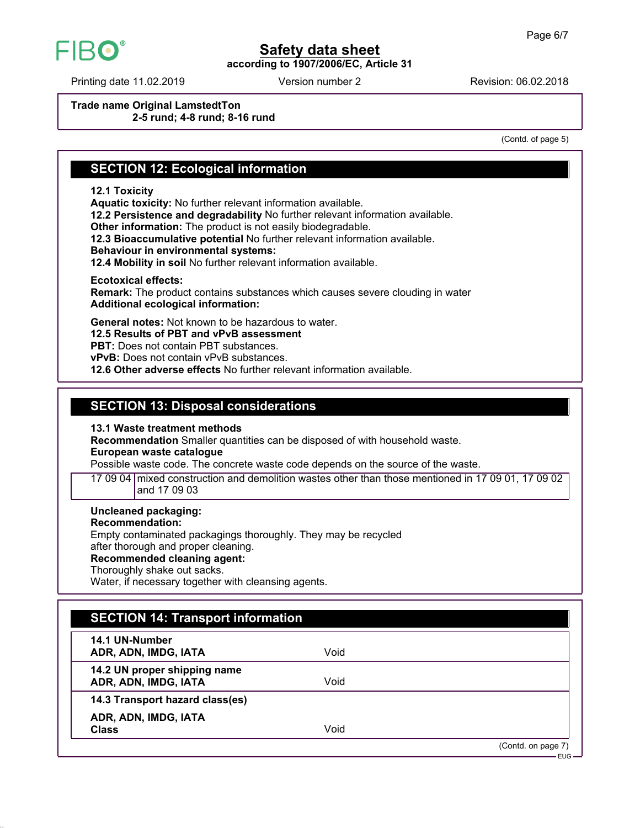

**according to 1907/2006/EC, Article 31**

Printing date 11.02.2019 **Revision: 06.02.2018** Version number 2

**Trade name Original LamstedtTon 2-5 rund; 4-8 rund; 8-16 rund**

(Contd. of page 5)

# **SECTION 12: Ecological information**

### **12.1 Toxicity**

**Aquatic toxicity:** No further relevant information available. **12.2 Persistence and degradability** No further relevant information available. **Other information:** The product is not easily biodegradable. **12.3 Bioaccumulative potential** No further relevant information available. **Behaviour in environmental systems:**

**12.4 Mobility in soil** No further relevant information available.

**Ecotoxical effects:**

**Remark:** The product contains substances which causes severe clouding in water **Additional ecological information:**

**General notes:** Not known to be hazardous to water.

**12.5 Results of PBT and vPvB assessment**

**PBT:** Does not contain PBT substances.

**vPvB:** Does not contain vPvB substances.

**12.6 Other adverse effects** No further relevant information available.

## **SECTION 13: Disposal considerations**

**13.1 Waste treatment methods**

**Recommendation** Smaller quantities can be disposed of with household waste.

**European waste catalogue**

Possible waste code. The concrete waste code depends on the source of the waste.

17 09 04 mixed construction and demolition wastes other than those mentioned in 17 09 01, 17 09 02 and 17 09 03

#### **Uncleaned packaging:**

### **Recommendation:**

Empty contaminated packagings thoroughly. They may be recycled after thorough and proper cleaning.

# **Recommended cleaning agent:**

Thoroughly shake out sacks.

Water, if necessary together with cleansing agents.

| <b>SECTION 14: Transport information</b>             |      |                              |
|------------------------------------------------------|------|------------------------------|
| 14.1 UN-Number<br>ADR, ADN, IMDG, IATA               | Void |                              |
| 14.2 UN proper shipping name<br>ADR, ADN, IMDG, IATA | Void |                              |
| 14.3 Transport hazard class(es)                      |      |                              |
| ADR, ADN, IMDG, IATA<br><b>Class</b>                 | Void |                              |
|                                                      |      | (Contd. on page 7)<br>∙EUG — |